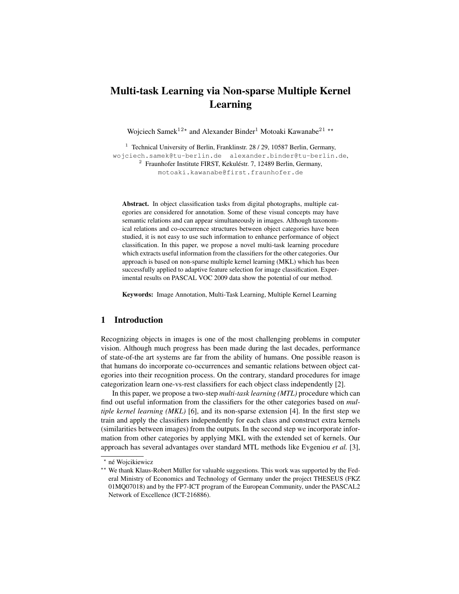# Multi-task Learning via Non-sparse Multiple Kernel Learning

Wojciech Samek<sup>12\*</sup> and Alexander Binder<sup>1</sup> Motoaki Kawanabe<sup>21</sup> \*\*

<sup>1</sup> Technical University of Berlin, Franklinstr. 28 / 29, 10587 Berlin, Germany, wojciech.samek@tu-berlin.de alexander.binder@tu-berlin.de, <sup>2</sup> Fraunhofer Institute FIRST, Kekuléstr. 7, 12489 Berlin, Germany, motoaki.kawanabe@first.fraunhofer.de

Abstract. In object classification tasks from digital photographs, multiple categories are considered for annotation. Some of these visual concepts may have semantic relations and can appear simultaneously in images. Although taxonomical relations and co-occurrence structures between object categories have been studied, it is not easy to use such information to enhance performance of object classification. In this paper, we propose a novel multi-task learning procedure which extracts useful information from the classifiers for the other categories. Our approach is based on non-sparse multiple kernel learning (MKL) which has been successfully applied to adaptive feature selection for image classification. Experimental results on PASCAL VOC 2009 data show the potential of our method.

Keywords: Image Annotation, Multi-Task Learning, Multiple Kernel Learning

# 1 Introduction

Recognizing objects in images is one of the most challenging problems in computer vision. Although much progress has been made during the last decades, performance of state-of-the art systems are far from the ability of humans. One possible reason is that humans do incorporate co-occurrences and semantic relations between object categories into their recognition process. On the contrary, standard procedures for image categorization learn one-vs-rest classifiers for each object class independently [2].

In this paper, we propose a two-step *multi-task learning (MTL)* procedure which can find out useful information from the classifiers for the other categories based on *multiple kernel learning (MKL)* [6], and its non-sparse extension [4]. In the first step we train and apply the classifiers independently for each class and construct extra kernels (similarities between images) from the outputs. In the second step we incorporate information from other categories by applying MKL with the extended set of kernels. Our approach has several advantages over standard MTL methods like Evgeniou *et al.* [3],

<sup>\*</sup> né Wojcikiewicz

<sup>\*\*</sup> We thank Klaus-Robert Müller for valuable suggestions. This work was supported by the Federal Ministry of Economics and Technology of Germany under the project THESEUS (FKZ 01MQ07018) and by the FP7-ICT program of the European Community, under the PASCAL2 Network of Excellence (ICT-216886).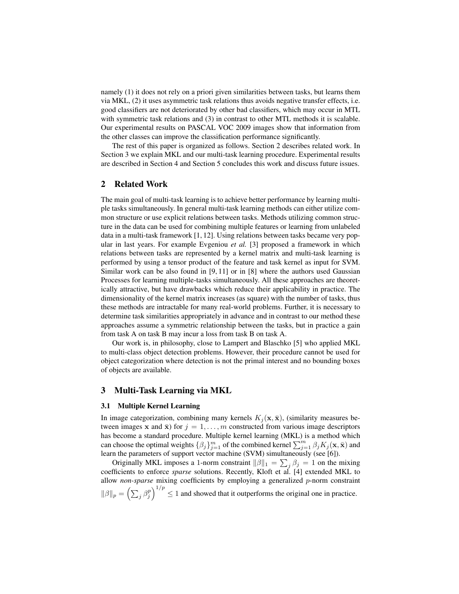namely (1) it does not rely on a priori given similarities between tasks, but learns them via MKL, (2) it uses asymmetric task relations thus avoids negative transfer effects, i.e. good classifiers are not deteriorated by other bad classifiers, which may occur in MTL with symmetric task relations and (3) in contrast to other MTL methods it is scalable. Our experimental results on PASCAL VOC 2009 images show that information from the other classes can improve the classification performance significantly.

The rest of this paper is organized as follows. Section 2 describes related work. In Section 3 we explain MKL and our multi-task learning procedure. Experimental results are described in Section 4 and Section 5 concludes this work and discuss future issues.

# 2 Related Work

The main goal of multi-task learning is to achieve better performance by learning multiple tasks simultaneously. In general multi-task learning methods can either utilize common structure or use explicit relations between tasks. Methods utilizing common structure in the data can be used for combining multiple features or learning from unlabeled data in a multi-task framework [1, 12]. Using relations between tasks became very popular in last years. For example Evgeniou *et al.* [3] proposed a framework in which relations between tasks are represented by a kernel matrix and multi-task learning is performed by using a tensor product of the feature and task kernel as input for SVM. Similar work can be also found in [9, 11] or in [8] where the authors used Gaussian Processes for learning multiple-tasks simultaneously. All these approaches are theoretically attractive, but have drawbacks which reduce their applicability in practice. The dimensionality of the kernel matrix increases (as square) with the number of tasks, thus these methods are intractable for many real-world problems. Further, it is necessary to determine task similarities appropriately in advance and in contrast to our method these approaches assume a symmetric relationship between the tasks, but in practice a gain from task A on task B may incur a loss from task B on task A.

Our work is, in philosophy, close to Lampert and Blaschko [5] who applied MKL to multi-class object detection problems. However, their procedure cannot be used for object categorization where detection is not the primal interest and no bounding boxes of objects are available.

## 3 Multi-Task Learning via MKL

#### 3.1 Multiple Kernel Learning

In image categorization, combining many kernels  $K_j(\mathbf{x}, \bar{\mathbf{x}})$ , (similarity measures between images x and  $\bar{x}$ ) for  $j = 1, \ldots, m$  constructed from various image descriptors has become a standard procedure. Multiple kernel learning (MKL) is a method which can choose the optimal weights  $\{\beta_j\}_{j=1}^m$  of the combined kernel  $\sum_{j=1}^m \beta_j K_j(\mathbf{x}, \bar{\mathbf{x}})$  and learn the parameters of support vector machine (SVM) simultaneously (see [6]).

Originally MKL imposes a 1-norm constraint  $\|\beta\|_1 = \sum_j \beta_j = 1$  on the mixing coefficients to enforce *sparse* solutions. Recently, Kloft et al. [4] extended MKL to allow *non-sparse* mixing coefficients by employing a generalized *p*-norm constraint  $\|\beta\|_p = \left(\sum_j \beta_j^p\right)^{1/p} \le 1$  and showed that it outperforms the original one in practice.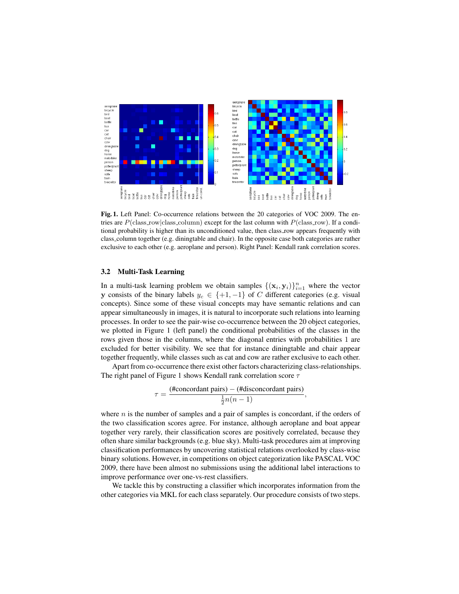

Fig. 1. Left Panel: Co-occurrence relations between the 20 categories of VOC 2009. The entries are  $P$ (class\_row|class\_column) except for the last column with  $P$ (class\_row). If a conditional probability is higher than its unconditioned value, then class\_row appears frequently with class column together (e.g. diningtable and chair). In the opposite case both categories are rather exclusive to each other (e.g. aeroplane and person). Right Panel: Kendall rank correlation scores.

## 3.2 Multi-Task Learning

In a multi-task learning problem we obtain samples  $\{(\mathbf{x}_i, \mathbf{y}_i)\}_{i=1}^n$  where the vector y consists of the binary labels  $y_c \in \{+1, -1\}$  of C different categories (e.g. visual concepts). Since some of these visual concepts may have semantic relations and can appear simultaneously in images, it is natural to incorporate such relations into learning processes. In order to see the pair-wise co-occurrence between the 20 object categories, we plotted in Figure 1 (left panel) the conditional probabilities of the classes in the rows given those in the columns, where the diagonal entries with probabilities 1 are excluded for better visibility. We see that for instance diningtable and chair appear together frequently, while classes such as cat and cow are rather exclusive to each other.

Apart from co-occurrence there exist other factors characterizing class-relationships. The right panel of Figure 1 shows Kendall rank correlation score  $\tau$ 

$$
\tau = \frac{\text{(#concordant pairs)} - \text{(#disconcordant pairs)}}{\frac{1}{2}n(n-1)},
$$

where  $n$  is the number of samples and a pair of samples is concordant, if the orders of the two classification scores agree. For instance, although aeroplane and boat appear together very rarely, their classification scores are positively correlated, because they often share similar backgrounds (e.g. blue sky). Multi-task procedures aim at improving classification performances by uncovering statistical relations overlooked by class-wise binary solutions. However, in competitions on object categorization like PASCAL VOC 2009, there have been almost no submissions using the additional label interactions to improve performance over one-vs-rest classifiers.

We tackle this by constructing a classifier which incorporates information from the other categories via MKL for each class separately. Our procedure consists of two steps.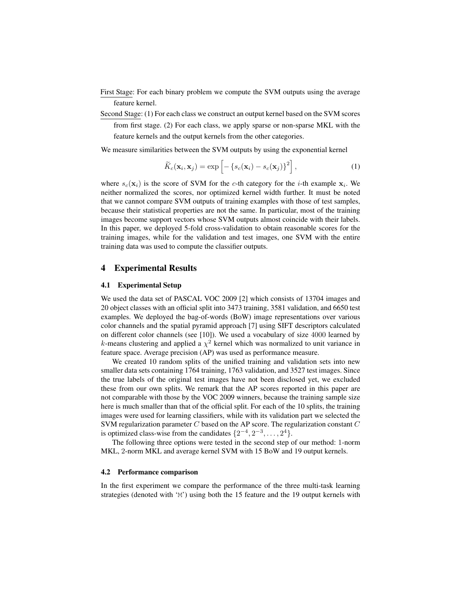- First Stage: For each binary problem we compute the SVM outputs using the average feature kernel.
- Second Stage: (1) For each class we construct an output kernel based on the SVM scores from first stage. (2) For each class, we apply sparse or non-sparse MKL with the feature kernels and the output kernels from the other categories.

We measure similarities between the SVM outputs by using the exponential kernel

$$
\widetilde{K}_c(\mathbf{x}_i, \mathbf{x}_j) = \exp\left[-\left\{s_c(\mathbf{x}_i) - s_c(\mathbf{x}_j)\right\}^2\right],\tag{1}
$$

where  $s_c(\mathbf{x}_i)$  is the score of SVM for the c-th category for the *i*-th example  $\mathbf{x}_i$ . We neither normalized the scores, nor optimized kernel width further. It must be noted that we cannot compare SVM outputs of training examples with those of test samples, because their statistical properties are not the same. In particular, most of the training images become support vectors whose SVM outputs almost coincide with their labels. In this paper, we deployed 5-fold cross-validation to obtain reasonable scores for the training images, while for the validation and test images, one SVM with the entire training data was used to compute the classifier outputs.

# 4 Experimental Results

#### 4.1 Experimental Setup

We used the data set of PASCAL VOC 2009 [2] which consists of 13704 images and 20 object classes with an official split into 3473 training, 3581 validation, and 6650 test examples. We deployed the bag-of-words (BoW) image representations over various color channels and the spatial pyramid approach [7] using SIFT descriptors calculated on different color channels (see [10]). We used a vocabulary of size 4000 learned by k-means clustering and applied a  $\chi^2$  kernel which was normalized to unit variance in feature space. Average precision (AP) was used as performance measure.

We created 10 random splits of the unified training and validation sets into new smaller data sets containing 1764 training, 1763 validation, and 3527 test images. Since the true labels of the original test images have not been disclosed yet, we excluded these from our own splits. We remark that the AP scores reported in this paper are not comparable with those by the VOC 2009 winners, because the training sample size here is much smaller than that of the official split. For each of the 10 splits, the training images were used for learning classifiers, while with its validation part we selected the SVM regularization parameter  $C$  based on the AP score. The regularization constant  $C$ is optimized class-wise from the candidates  $\{2^{-4}, 2^{-3}, \ldots, 2^{4}\}.$ 

The following three options were tested in the second step of our method: 1-norm MKL, 2-norm MKL and average kernel SVM with 15 BoW and 19 output kernels.

#### 4.2 Performance comparison

In the first experiment we compare the performance of the three multi-task learning strategies (denoted with 'M') using both the 15 feature and the 19 output kernels with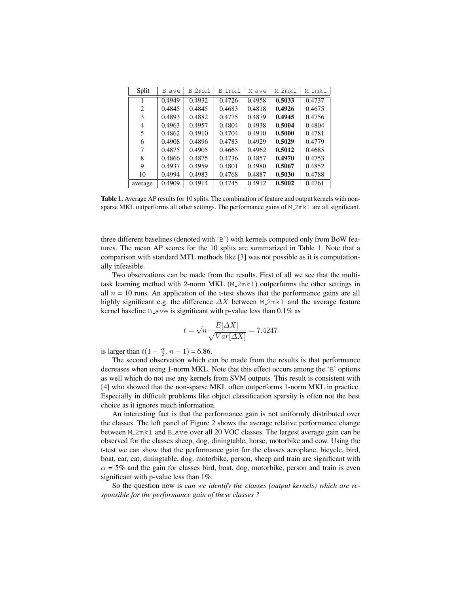| Split          | B_ave  | $B_2mk1$ | B 1mkl | M ave  | $M$ 2mk $l$ | M <sub>-</sub> 1mkl |
|----------------|--------|----------|--------|--------|-------------|---------------------|
|                | 0.4949 | 0.4932   | 0.4726 | 0.4958 | 0.5033      | 0.4737              |
| 2              | 0.4845 | 0.4845   | 0.4683 | 0.4818 | 0.4926      | 0.4675              |
| 3              | 0.4893 | 0.4882   | 0.4775 | 0.4879 | 0.4945      | 0.4756              |
| $\overline{4}$ | 0.4963 | 0.4957   | 0.4804 | 0.4938 | 0.5004      | 0.4804              |
| 5              | 0.4862 | 0.4910   | 0.4704 | 0.4910 | 0.5000      | 0.4781              |
| 6              | 0.4908 | 0.4896   | 0.4783 | 0.4929 | 0.5029      | 0.4779              |
| 7              | 0.4875 | 0.4905   | 0.4665 | 0.4962 | 0.5012      | 0.4685              |
| 8              | 0.4866 | 0.4875   | 0.4736 | 0.4857 | 0.4970      | 0.4753              |
| 9              | 0.4937 | 0.4959   | 0.4801 | 0.4980 | 0.5067      | 0.4852              |
| 10             | 0.4994 | 0.4983   | 0.4768 | 0.4887 | 0.5030      | 0.4788              |
| average        | 0.4909 | 0.4914   | 0.4745 | 0.4912 | 0.5002      | 0.4761              |

Table 1. Average AP results for 10 splits. The combination of feature and output kernels with nonsparse MKL outperforms all other settings. The performance gains of M\_2mk l are all significant.

three different baselines (denoted with 'B') with kernels computed only from BoW features. The mean AP scores for the 10 splits are summarized in Table 1. Note that a comparison with standard MTL methods like [3] was not possible as it is computationally infeasible.

Two observations can be made from the results. First of all we see that the multitask learning method with 2-norm MKL (M<sub>-2mk1</sub>) outperforms the other settings in all  $n = 10$  runs. An application of the t-test shows that the performance gains are all highly significant e.g. the difference  $\Delta X$  between M 2mkl and the average feature kernel baseline  $B_$ ave is significant with p-value less than  $0.1\%$  as

$$
t = \sqrt{n} \frac{E[\Delta X]}{\sqrt{Var[\Delta X]}} = 7.4247
$$

is larger than  $t(1 - \frac{\alpha}{2}, n - 1) = 6.86$ .

The second observation which can be made from the results is that performance decreases when using 1-norm MKL. Note that this effect occurs among the 'B' options as well which do not use any kernels from SVM outputs. This result is consistent with [4] who showed that the non-sparse MKL often outperforms 1-norm MKL in practice. Especially in difficult problems like object classification sparsity is often not the best choice as it ignores much information.

An interesting fact is that the performance gain is not uniformly distributed over the classes. The left panel of Figure 2 shows the average relative performance change between M<sub>-2mk1</sub> and B<sub>-ave</sub> over all 20 VOC classes. The largest average gain can be observed for the classes sheep, dog, diningtable, horse, motorbike and cow. Using the t-test we can show that the performance gain for the classes aeroplane, bicycle, bird, boat, car, cat, diningtable, dog, motorbike, person, sheep and train are significant with  $\alpha = 5\%$  and the gain for classes bird, boat, dog, motorbike, person and train is even significant with p-value less than 1%.

So the question now is *can we identify the classes (output kernels) which are responsible for the performance gain of these classes ?*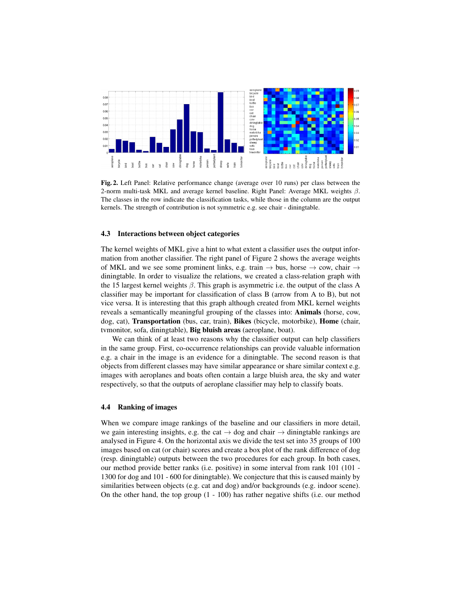

Fig. 2. Left Panel: Relative performance change (average over 10 runs) per class between the 2-norm multi-task MKL and average kernel baseline. Right Panel: Average MKL weights  $\beta$ . The classes in the row indicate the classification tasks, while those in the column are the output kernels. The strength of contribution is not symmetric e.g. see chair - diningtable.

### 4.3 Interactions between object categories

The kernel weights of MKL give a hint to what extent a classifier uses the output information from another classifier. The right panel of Figure 2 shows the average weights of MKL and we see some prominent links, e.g. train  $\rightarrow$  bus, horse  $\rightarrow$  cow, chair  $\rightarrow$ diningtable. In order to visualize the relations, we created a class-relation graph with the 15 largest kernel weights  $\beta$ . This graph is asymmetric i.e. the output of the class A classifier may be important for classification of class B (arrow from A to B), but not vice versa. It is interesting that this graph although created from MKL kernel weights reveals a semantically meaningful grouping of the classes into: Animals (horse, cow, dog, cat), Transportation (bus, car, train), Bikes (bicycle, motorbike), Home (chair, tvmonitor, sofa, diningtable), Big bluish areas (aeroplane, boat).

We can think of at least two reasons why the classifier output can help classifiers in the same group. First, co-occurrence relationships can provide valuable information e.g. a chair in the image is an evidence for a diningtable. The second reason is that objects from different classes may have similar appearance or share similar context e.g. images with aeroplanes and boats often contain a large bluish area, the sky and water respectively, so that the outputs of aeroplane classifier may help to classify boats.

#### 4.4 Ranking of images

When we compare image rankings of the baseline and our classifiers in more detail, we gain interesting insights, e.g. the cat  $\rightarrow$  dog and chair  $\rightarrow$  diningtable rankings are analysed in Figure 4. On the horizontal axis we divide the test set into 35 groups of 100 images based on cat (or chair) scores and create a box plot of the rank difference of dog (resp. diningtable) outputs between the two procedures for each group. In both cases, our method provide better ranks (i.e. positive) in some interval from rank 101 (101 - 1300 for dog and 101 - 600 for diningtable). We conjecture that this is caused mainly by similarities between objects (e.g. cat and dog) and/or backgrounds (e.g. indoor scene). On the other hand, the top group (1 - 100) has rather negative shifts (i.e. our method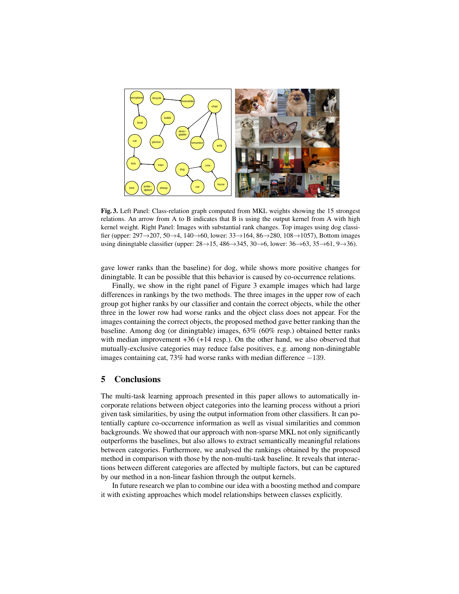

Fig. 3. Left Panel: Class-relation graph computed from MKL weights showing the 15 strongest relations. An arrow from A to B indicates that B is using the output kernel from A with high kernel weight. Right Panel: Images with substantial rank changes. Top images using dog classifier (upper: 297→207, 50→4, 140→60, lower: 33→164, 86→280, 108→1057), Bottom images using diningtable classifier (upper:  $28 \rightarrow 15$ ,  $486 \rightarrow 345$ ,  $30 \rightarrow 6$ , lower:  $36 \rightarrow 63$ ,  $35 \rightarrow 61$ ,  $9 \rightarrow 36$ ).

gave lower ranks than the baseline) for dog, while shows more positive changes for diningtable. It can be possible that this behavior is caused by co-occurrence relations.

Finally, we show in the right panel of Figure 3 example images which had large differences in rankings by the two methods. The three images in the upper row of each group got higher ranks by our classifier and contain the correct objects, while the other three in the lower row had worse ranks and the object class does not appear. For the images containing the correct objects, the proposed method gave better ranking than the baseline. Among dog (or diningtable) images, 63% (60% resp.) obtained better ranks with median improvement  $+36 + 14$  resp.). On the other hand, we also observed that mutually-exclusive categories may reduce false positives, e.g. among non-diningtable images containing cat, 73% had worse ranks with median difference −139.

## 5 Conclusions

The multi-task learning approach presented in this paper allows to automatically incorporate relations between object categories into the learning process without a priori given task similarities, by using the output information from other classifiers. It can potentially capture co-occurrence information as well as visual similarities and common backgrounds. We showed that our approach with non-sparse MKL not only significantly outperforms the baselines, but also allows to extract semantically meaningful relations between categories. Furthermore, we analysed the rankings obtained by the proposed method in comparison with those by the non-multi-task baseline. It reveals that interactions between different categories are affected by multiple factors, but can be captured by our method in a non-linear fashion through the output kernels.

In future research we plan to combine our idea with a boosting method and compare it with existing approaches which model relationships between classes explicitly.